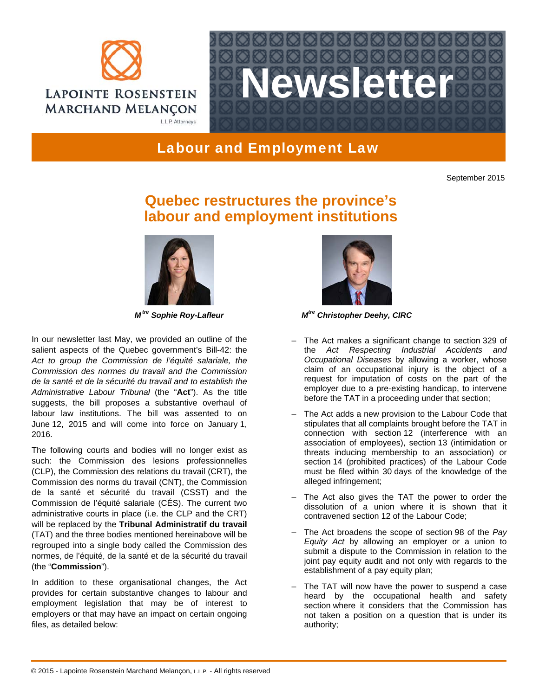



Labour and Employment Law

September 2015

## **Quebec restructures the province's labour and employment institutions**



In our newsletter last May, we provided an outline of the salient aspects of the Quebec government's Bill-42: the *Act to group the Commission de l'équité salariale, the Commission des normes du travail and the Commission de la santé et de la sécurité du travail and to establish the Administrative Labour Tribunal* (the "**Act**"). As the title suggests, the bill proposes a substantive overhaul of labour law institutions. The bill was assented to on June 12, 2015 and will come into force on January 1, 2016.

The following courts and bodies will no longer exist as such: the Commission des lesions professionnelles (CLP), the Commission des relations du travail (CRT), the Commission des norms du travail (CNT), the Commission de la santé et sécurité du travail (CSST) and the Commission de l'équité salariale (CÉS). The current two administrative courts in place (i.e. the CLP and the CRT) will be replaced by the **Tribunal Administratif du travail** (TAT) and the three bodies mentioned hereinabove will be regrouped into a single body called the Commission des normes, de l'équité, de la santé et de la sécurité du travail (the "**Commission**").

In addition to these organisational changes, the Act provides for certain substantive changes to labour and employment legislation that may be of interest to employers or that may have an impact on certain ongoing files, as detailed below:



*M*<sup>tre</sup> Sophie Roy-Lafleur **M<sup>tre</sup> Christopher Deehy, CIRC** 

- − The Act makes a significant change to section 329 of the *Act Respecting Industrial Accidents and Occupational Diseases* by allowing a worker, whose claim of an occupational injury is the object of a request for imputation of costs on the part of the employer due to a pre-existing handicap, to intervene before the TAT in a proceeding under that section;
- − The Act adds a new provision to the Labour Code that stipulates that all complaints brought before the TAT in connection with section 12 (interference with an association of employees), section 13 (intimidation or threats inducing membership to an association) or section 14 (prohibited practices) of the Labour Code must be filed within 30 days of the knowledge of the alleged infringement;
- − The Act also gives the TAT the power to order the dissolution of a union where it is shown that it contravened section 12 of the Labour Code;
- − The Act broadens the scope of section 98 of the *Pay Equity Act* by allowing an employer or a union to submit a dispute to the Commission in relation to the joint pay equity audit and not only with regards to the establishment of a pay equity plan;
- − The TAT will now have the power to suspend a case heard by the occupational health and safety section where it considers that the Commission has not taken a position on a question that is under its authority;